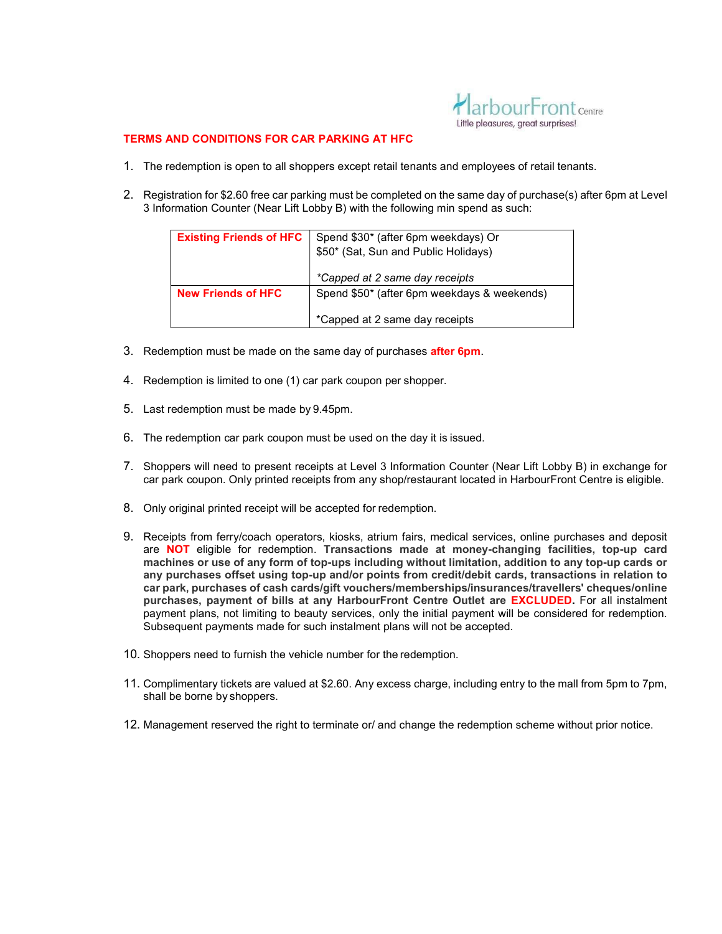

## TERMS AND CONDITIONS FOR CAR PARKING AT HFC

- 1. The redemption is open to all shoppers except retail tenants and employees of retail tenants.
- 2. Registration for \$2.60 free car parking must be completed on the same day of purchase(s) after 6pm at Level 3 Information Counter (Near Lift Lobby B) with the following min spend as such:

| <b>Existing Friends of HFC</b> | Spend \$30* (after 6pm weekdays) Or<br>\$50* (Sat, Sun and Public Holidays)<br>*Capped at 2 same day receipts |
|--------------------------------|---------------------------------------------------------------------------------------------------------------|
| <b>New Friends of HFC</b>      | Spend \$50* (after 6pm weekdays & weekends)<br>*Capped at 2 same day receipts                                 |

- 3. Redemption must be made on the same day of purchases **after 6pm**.
- 4. Redemption is limited to one (1) car park coupon per shopper.
- 5. Last redemption must be made by 9.45pm.
- 6. The redemption car park coupon must be used on the day it is issued.
- 7. Shoppers will need to present receipts at Level 3 Information Counter (Near Lift Lobby B) in exchange for car park coupon. Only printed receipts from any shop/restaurant located in HarbourFront Centre is eligible.
- 8. Only original printed receipt will be accepted for redemption.
- 9. Receipts from ferry/coach operators, kiosks, atrium fairs, medical services, online purchases and deposit are NOT eligible for redemption. Transactions made at money-changing facilities, top-up card machines or use of any form of top-ups including without limitation, addition to any top-up cards or any purchases offset using top-up and/or points from credit/debit cards, transactions in relation to car park, purchases of cash cards/gift vouchers/memberships/insurances/travellers' cheques/online purchases, payment of bills at any HarbourFront Centre Outlet are EXCLUDED. For all instalment payment plans, not limiting to beauty services, only the initial payment will be considered for redemption. Subsequent payments made for such instalment plans will not be accepted.
- 10. Shoppers need to furnish the vehicle number for the redemption.
- 11. Complimentary tickets are valued at \$2.60. Any excess charge, including entry to the mall from 5pm to 7pm, shall be borne by shoppers.
- 12. Management reserved the right to terminate or/ and change the redemption scheme without prior notice.